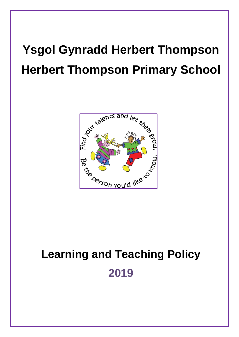# **Ysgol Gynradd Herbert Thompson Herbert Thompson Primary School**



# **Learning and Teaching Policy 2019**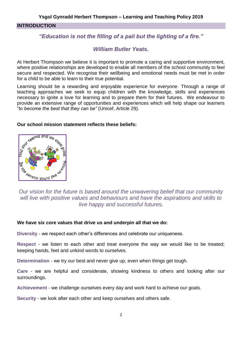#### **INTRODUCTION**

# *"Education is not the filling of a pail but the lighting of a fire."*

### *William Butler Yeats.*

At Herbert Thompson we believe it is important to promote a caring and supportive environment, where positive relationships are developed to enable all members of the school community to feel secure and respected. We recognise their wellbeing and emotional needs must be met in order for a child to be able to learn to their true potential.

Learning should be a rewarding and enjoyable experience for everyone. Through a range of teaching approaches we seek to equip children with the knowledge, skills and experiences necessary to ignite a love for learning and to prepare them for their futures. We endeavour to provide an extensive range of opportunities and experiences which will help shape our learners "*to become the best that they can be"* (Unicef, Article 29).

#### **Our school mission statement reflects these beliefs:**



*Our vision for the future is based around the unwavering belief that our community will live with positive values and behaviours and have the aspirations and skills to live happy and successful futures.*

#### **We have six core values that drive us and underpin all that we do:**

**Diversity** - we respect each other's differences and celebrate our uniqueness.

**Respect** - we listen to each other and treat everyone the way we would like to be treated; keeping hands, feet and unkind words to ourselves.

**Determination** - we try our best and never give up, even when things get tough.

**Care** - we are helpful and considerate, showing kindness to others and looking after our surroundings.

**Achievement** - we challenge ourselves every day and work hard to achieve our goals.

**Security** - we look after each other and keep ourselves and others safe.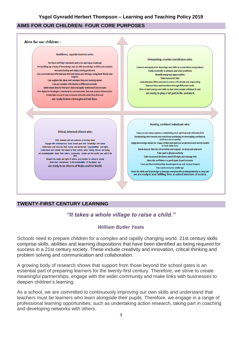#### **AIMS FOR OUR CHILDREN: FOUR CORE PURPOSES**



#### **TWENTY-FIRST CENTURY LEARNING**

# *"It takes a whole village to raise a child."*

#### *William Butler Yeats*

Schools need to prepare children for a complex and rapidly changing world. 21st century skills comprise skills, abilities and learning dispositions that have been identified as being required for success in a 21st century society. These include creativity and innovation, critical thinking and problem solving and communication and collaboration.

A growing body of research shows that support from those beyond the school gates is an essential part of preparing learners for the twenty-first century. Therefore, we strive to create meaningful partnerships, engage with the wider community and make links with businesses to deepen children's learning.

As a school, we are committed to continuously improving our own skills and understand that teachers must be learners who learn alongside their pupils. Therefore, we engage in a range of professional learning opportunities, such as undertaking action research, taking part in coaching and developing networks with others.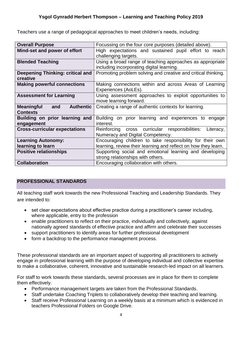Teachers use a range of pedagogical approaches to meet children's needs, including:

| <b>Overall Purpose</b>                                          | Focussing on the four core purposes (detailed above).                                                                       |  |  |
|-----------------------------------------------------------------|-----------------------------------------------------------------------------------------------------------------------------|--|--|
| Mind-set and power of effort                                    | High expectations and sustained pupil effort to reach<br>challenging targets.                                               |  |  |
| <b>Blended Teaching</b>                                         | Using a broad range of teaching approaches as appropriate<br>including incorporating digital learning.                      |  |  |
| Deepening Thinking: critical and<br>creative                    | Promoting problem solving and creative and critical thinking.                                                               |  |  |
| <b>Making powerful connections</b>                              | Making connections within and across Areas of Learning<br>Experiences (AoLEs).                                              |  |  |
| <b>Assessment for Learning</b>                                  | Using assessment approaches to exploit opportunities to<br>move learning forward.                                           |  |  |
| <b>Authentic</b><br><b>Meaningful</b><br>and<br><b>Contexts</b> | Creating a range of authentic contexts for learning.                                                                        |  |  |
| Building on prior learning and<br>engagement                    | on prior learning and experiences to engage<br><b>Building</b><br>interest.                                                 |  |  |
| <b>Cross-curricular expectations</b>                            | Reinforcing cross curricular responsibilities:<br>Literacy,<br>Numeracy and Digital Competency.                             |  |  |
| <b>Learning Autonomy:</b><br>learning to learn                  | Encouraging children to take responsibility for their own<br>learning, review their learning and reflect on how they learn. |  |  |
| <b>Positive relationships</b>                                   | Supporting social and emotional learning and developing<br>strong relationships with others.                                |  |  |
| <b>Collaboration</b>                                            | Encouraging collaboration with others.                                                                                      |  |  |

#### **PROFESSIONAL STANDARDS**

All teaching staff work towards the new Professional Teaching and Leadership Standards. They are intended to:

- set clear expectations about effective practice during a practitioner's career including, where applicable, entry to the profession
- enable practitioners to reflect on their practice, individually and collectively, against nationally agreed standards of effective practice and affirm and celebrate their successes
- support practitioners to identify areas for further professional development
- form a backdrop to the performance management process.

These professional standards are an important aspect of supporting all practitioners to actively engage in professional learning with the purpose of developing individual and collective expertise to make a collaborative, coherent, innovative and sustainable research-led impact on all learners.

For staff to work towards these standards, several processes are in place for them to complete them effectively.

- Performance management targets are taken from the Professional Standards.
- Staff undertake Coaching Triplets to collaboratively develop their teaching and learning.
- Staff receive Professional Learning on a weekly basis at a minimum which is evidenced in teachers Professional Folders on Google Drive.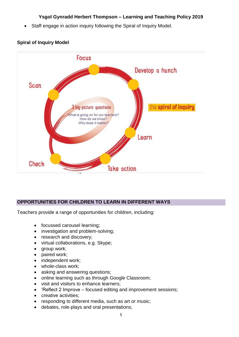Staff engage in action inquiry following the Spiral of Inquiry Model.



#### **Spiral of Inquiry Model**

# **OPPORTUNITIES FOR CHILDREN TO LEARN IN DIFFERENT WAYS**

Teachers provide a range of opportunities for children, including:

- focussed carousel learning;
- investigation and problem-solving;
- research and discovery;
- virtual collaborations, e.g. Skype;
- group work;
- paired work;
- independent work;
- whole-class work;
- asking and answering questions;
- online learning such as through Google Classroom;
- visit and visitors to enhance learners;
- 'Reflect 2 Improve focused editing and improvement sessions;
- creative activities;
- responding to different media, such as art or music;
- debates, role-plays and oral presentations;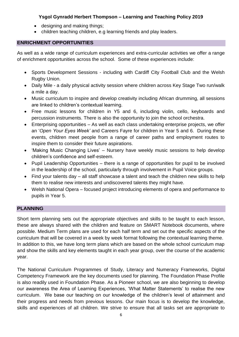- designing and making things:
- children teaching children, e.g learning friends and play leaders.

#### **ENRICHMENT OPPORTUNITIES**

As well as a wide range of curriculum experiences and extra-curricular activities we offer a range of enrichment opportunities across the school. Some of these experiences include:

- Sports Development Sessions including with Cardiff City Football Club and the Welsh Rugby Union.
- Daily Mile a daily physical activity session where children across Key Stage Two run/walk a mile a day.
- Music curriculum to inspire and develop creativity including African drumming, all sessions are linked to children's contextual learning.
- Free music lessons for children in Y5 and 6, including violin, cello, keyboards and percussion instruments. There is also the opportunity to join the school orchestra.
- Enterprising opportunities As well as each class undertaking enterprise projects, we offer an '*Open Your Eyes Week'* and Careers Fayre for children in Year 5 and 6. During these events, children meet people from a range of career paths and employment routes to inspire them to consider their future aspirations.
- 'Making Music Changing Lives' Nursery have weekly music sessions to help develop children's confidence and self-esteem.
- Pupil Leadership Opportunities there is a range of opportunities for pupil to be involved in the leadership of the school, particularly through involvement in Pupil Voice groups.
- Find your talents day all staff showcase a talent and teach the children new skills to help them to realise new interests and undiscovered talents they might have.
- Welsh National Opera focused project introducing elements of opera and performance to pupils in Year 5.

# **PLANNING**

Short term planning sets out the appropriate objectives and skills to be taught to each lesson, these are always shared with the children and feature on SMART Notebook documents, where possible. Medium Term plans are used for each half term and set out the specific aspects of the curriculum that will be covered in a week by week format following the contextual learning theme. In addition to this, we have long term plans which are based on the whole school curriculum map and show the skills and key elements taught in each year group, over the course of the academic year.

The National Curriculum Programmes of Study, Literacy and Numeracy Frameworks, Digital Competency Framework are the key documents used for planning. The Foundation Phase Profile is also readily used in Foundation Phase. As a Pioneer school, we are also beginning to develop our awareness the Area of Learning Experiences, 'What Matter Statements' to realise the new curriculum. We base our teaching on our knowledge of the children's level of attainment and their progress and needs from previous lessons. Our main focus is to develop the knowledge, skills and experiences of all children. We strive to ensure that all tasks set are appropriate to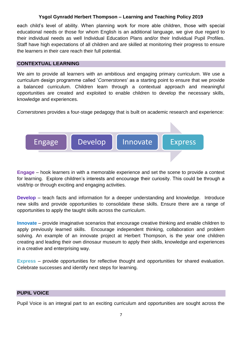each child's level of ability. When planning work for more able children, those with special educational needs or those for whom English is an additional language, we give due regard to their individual needs as well Individual Education Plans and/or their Individual Pupil Profiles. Staff have high expectations of all children and are skilled at monitoring their progress to ensure the learners in their care reach their full potential.

#### **CONTEXTUAL LEARNING**

We aim to provide all learners with an ambitious and engaging primary curriculum. We use a curriculum design programme called '*Cornerstones*' as a starting point to ensure that we provide a balanced curriculum. Children learn through a contextual approach and meaningful opportunities are created and exploited to enable children to develop the necessary skills, knowledge and experiences.

*Cornerstones* provides a four-stage pedagogy that is built on academic research and experience:



**Engage** – hook learners in with a memorable experience and set the scene to provide a context for learning. Explore children's interests and encourage their curiosity. This could be through a visit/trip or through exciting and engaging activities.

**Develop** – teach facts and information for a deeper understanding and knowledge. Introduce new skills and provide opportunities to consolidate these skills. Ensure there are a range of opportunities to apply the taught skills across the curriculum.

**Innovate** – provide imaginative scenarios that encourage creative thinking and enable children to apply previously learned skills. Encourage independent thinking, collaboration and problem solving. An example of an innovate project at Herbert Thompson, is the year one children creating and leading their own dinosaur museum to apply their skills, knowledge and experiences in a creative and enterprising way.

**Express** – provide opportunities for reflective thought and opportunities for shared evaluation. Celebrate successes and identify next steps for learning.

#### **PUPIL VOICE**

Pupil Voice is an integral part to an exciting curriculum and opportunities are sought across the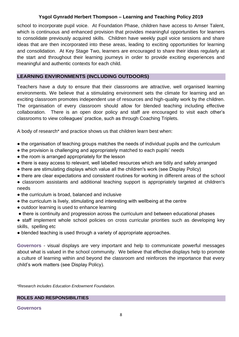school to incorporate pupil voice. At Foundation Phase, children have access to Amser Talent, which is continuous and enhanced provision that provides meaningful opportunities for learners to consolidate previously acquired skills. Children have weekly pupil voice sessions and share ideas that are then incorporated into these areas, leading to exciting opportunities for learning and consolidation. At Key Stage Two, learners are encouraged to share their ideas regularly at the start and throughout their learning journeys in order to provide exciting experiences and meaningful and authentic contexts for each child.

#### **LEARNING ENVIRONMENTS (INCLUDING OUTDOORS)**

Teachers have a duty to ensure that their classrooms are attractive, well organised learning environments. We believe that a stimulating environment sets the climate for learning and an exciting classroom promotes independent use of resources and high-quality work by the children. The organisation of every classroom should allow for blended teaching including effective collaboration. There is an open door policy and staff are encouraged to visit each other's classrooms to view colleagues' practice, such as through Coaching Triplets.

A body of research\* and practice shows us that children learn best when:

- the organisation of teaching groups matches the needs of individual pupils and the curriculum
- the provision is challenging and appropriately matched to each pupils' needs
- the room is arranged appropriately for the lesson
- there is easy access to relevant, well labelled resources which are tidily and safely arranged
- there are stimulating displays which value all the children's work (see Display Policy)
- there are clear expectations and consistent routines for working in different areas of the school
- classroom assistants and additional teaching support is appropriately targeted at children's needs
- the curriculum is broad, balanced and inclusive
- the curriculum is lively, stimulating and interesting with wellbeing at the centre
- outdoor learning is used to enhance learning
- there is continuity and progression across the curriculum and between educational phases
- staff implement whole school policies on cross curricular priorities such as developing key skills, spelling etc
- blended teaching is used through a variety of appropriate approaches.

**Governors** - visual displays are very important and help to communicate powerful messages about what is valued in the school community. We believe that effective displays help to promote a culture of learning within and beyond the classroom and reinforces the importance that every child's work matters (see Display Policy).

*\*Research includes Education Endowment Foundation.* 

**ROLES AND RESPONSIBILITIES**

**Governors**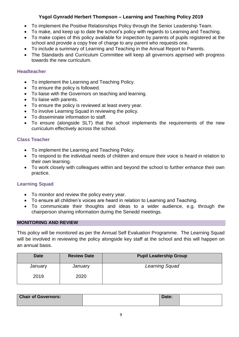- To implement the Positive Relationships Policy through the Senior Leadership Team.
- To make, and keep up to date the school's policy with regards to Learning and Teaching.
- To make copies of this policy available for inspection by parents of pupils registered at the school and provide a copy free of charge to any parent who requests one.
- To include a summary of Learning and Teaching in the Annual Report to Parents.
- The Standards and Curriculum Committee will keep all governors apprised with progress towards the new curriculum.

### **Headteacher**

- To implement the Learning and Teaching Policy.
- To ensure the policy is followed.
- To liaise with the Governors on teaching and learning.
- To liaise with parents.
- To ensure the policy is reviewed at least every year.
- To involve Learning Squad in reviewing the policy.
- To disseminate information to staff.
- To ensure (alongside SLT) that the school implements the requirements of the new curriculum effectively across the school.

# **Class Teacher**

- To implement the Learning and Teaching Policy.
- To respond to the individual needs of children and ensure their voice is heard in relation to their own learning.
- To work closely with colleagues within and beyond the school to further enhance their own practice.

# **Learning Squad**

- To monitor and review the policy every year.
- To ensure all children's voices are heard in relation to Learning and Teaching.
- To communicate their thoughts and ideas to a wider audience, e.g. through the chairperson sharing information during the Senedd meetings.

#### **MONITORING AND REVIEW**

This policy will be monitored as per the Annual Self Evaluation Programme. The Learning Squad will be involved in reviewing the policy alongside key staff at the school and this will happen on an annual basis.

| <b>Date</b> | <b>Review Date</b> | <b>Pupil Leadership Group</b> |
|-------------|--------------------|-------------------------------|
| January     | January            | <b>Learning Squad</b>         |
| 2019        | 2020               |                               |

| <b>Chair of Governors:</b> | Date: |  |
|----------------------------|-------|--|
|                            |       |  |